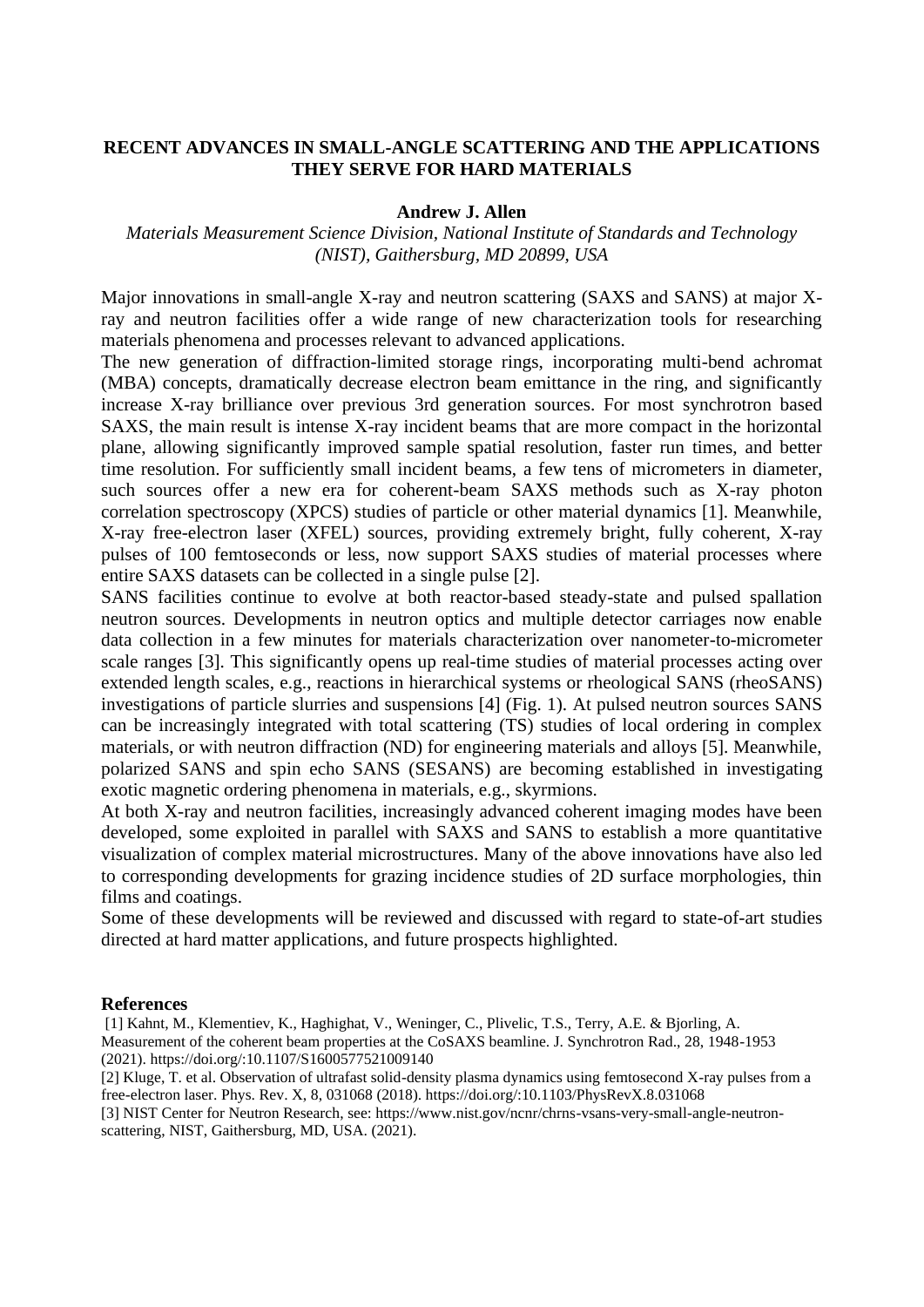## **RECENT ADVANCES IN SMALL-ANGLE SCATTERING AND THE APPLICATIONS THEY SERVE FOR HARD MATERIALS**

## **Andrew J. Allen**

## *Materials Measurement Science Division, National Institute of Standards and Technology (NIST), Gaithersburg, MD 20899, USA*

Major innovations in small-angle X-ray and neutron scattering (SAXS and SANS) at major Xray and neutron facilities offer a wide range of new characterization tools for researching materials phenomena and processes relevant to advanced applications.

The new generation of diffraction-limited storage rings, incorporating multi-bend achromat (MBA) concepts, dramatically decrease electron beam emittance in the ring, and significantly increase X-ray brilliance over previous 3rd generation sources. For most synchrotron based SAXS, the main result is intense X-ray incident beams that are more compact in the horizontal plane, allowing significantly improved sample spatial resolution, faster run times, and better time resolution. For sufficiently small incident beams, a few tens of micrometers in diameter, such sources offer a new era for coherent-beam SAXS methods such as X-ray photon correlation spectroscopy (XPCS) studies of particle or other material dynamics [1]. Meanwhile, X-ray free-electron laser (XFEL) sources, providing extremely bright, fully coherent, X-ray pulses of 100 femtoseconds or less, now support SAXS studies of material processes where entire SAXS datasets can be collected in a single pulse [2].

SANS facilities continue to evolve at both reactor-based steady-state and pulsed spallation neutron sources. Developments in neutron optics and multiple detector carriages now enable data collection in a few minutes for materials characterization over nanometer-to-micrometer scale ranges [3]. This significantly opens up real-time studies of material processes acting over extended length scales, e.g., reactions in hierarchical systems or rheological SANS (rheoSANS) investigations of particle slurries and suspensions [4] (Fig. 1). At pulsed neutron sources SANS can be increasingly integrated with total scattering (TS) studies of local ordering in complex materials, or with neutron diffraction (ND) for engineering materials and alloys [5]. Meanwhile, polarized SANS and spin echo SANS (SESANS) are becoming established in investigating exotic magnetic ordering phenomena in materials, e.g., skyrmions.

At both X-ray and neutron facilities, increasingly advanced coherent imaging modes have been developed, some exploited in parallel with SAXS and SANS to establish a more quantitative visualization of complex material microstructures. Many of the above innovations have also led to corresponding developments for grazing incidence studies of 2D surface morphologies, thin films and coatings.

Some of these developments will be reviewed and discussed with regard to state-of-art studies directed at hard matter applications, and future prospects highlighted.

## **References**

[1] Kahnt, M., Klementiev, K., Haghighat, V., Weninger, C., Plivelic, T.S., Terry, A.E. & Bjorling, A. Measurement of the coherent beam properties at the CoSAXS beamline. J. Synchrotron Rad., 28, 1948-1953 (2021). https://doi.org/:10.1107/S1600577521009140

[2] Kluge, T. et al. Observation of ultrafast solid-density plasma dynamics using femtosecond X-ray pulses from a free-electron laser. Phys. Rev. X, 8, 031068 (2018). https://doi.org/:10.1103/PhysRevX.8.031068

[3] NIST Center for Neutron Research, see: https://www.nist.gov/ncnr/chrns-vsans-very-small-angle-neutronscattering, NIST, Gaithersburg, MD, USA. (2021).